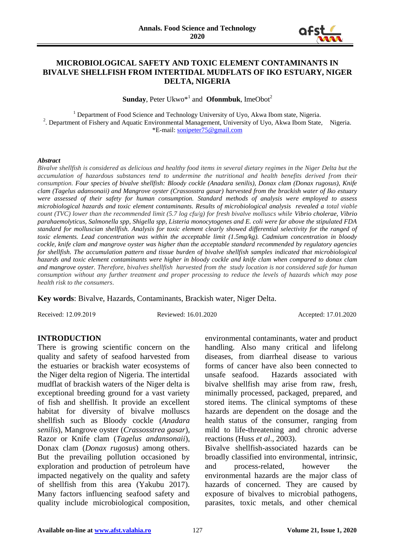

## **MICROBIOLOGICAL SAFETY AND TOXIC ELEMENT CONTAMINANTS IN BIVALVE SHELLFISH FROM INTERTIDAL MUDFLATS OF IKO ESTUARY, NIGER DELTA, NIGERIA**

**Sunday**, Peter Ukwo<sup>\*1</sup> and **Ofonmbuk**, ImeObot<sup>2</sup>

<sup>1</sup> Department of Food Science and Technology University of Uyo, Akwa Ibom state, Nigeria. <sup>2</sup>. Department of Fishery and Aquatic Environmental Management, University of Uyo, Akwa Ibom State, Nigeria. \*E-mail: [sonipeter75@gmail.com](mailto:sonipeter75@gmail.com)

#### *Abstract*

*Bivalve shellfish is considered as delicious and healthy food items in several dietary regimes in the Niger Delta but the accumulation of hazardous substances tend to undermine the nutritional and health benefits derived from their consumption. Four species of bivalve shellfish: Bloody cockle (Anadara senilis), Donax clam (Donax rugosus), Knife clam (Tagelus adansonaii) and Mangrove oyster (Crassosstra gasar) harvested from the brackish water of Iko estuary were assessed of their safety for human consumption. Standard methods of analysis were employed to assess microbiological hazards and toxic element contaminants. Results of microbiological analysis revealed a total viable count (TVC) lower than the recommended limit (5.7 log cfu/g) for fresh bivalve molluscs while Vibrio cholerae, Vibrio parahaemolyticus, Salmonella spp, Shigella spp, Listeria monocytogenes and E. coli were far above the stipulated FDA standard for molluscian shellfish. Analysis for toxic element clearly showed differential selectivity for the ranged of toxic elements. Lead concentration was within the acceptable limit (1.5mg/kg). Cadmium concentration in bloody cockle, knife clam and mangrove oyster was higher than the acceptable standard recommended by regulatory agencies for shellfish. The accumulation pattern and tissue burden of bivalve shellfish samples indicated that microbiological hazards and toxic element contaminants were higher in bloody cockle and knife clam when compared to donax clam and mangrove oyster. Therefore, bivalves shellfish harvested from the study location is not considered safe for human consumption without any further treatment and proper processing to reduce the levels of hazards which may pose health risk to the consumers*.

**Key words**: Bivalve, Hazards, Contaminants, Brackish water, Niger Delta.

Received: 12.09.2019 Reviewed: 16.01.2020 Accepted: 17.01.2020

## **INTRODUCTION**

There is growing scientific concern on the quality and safety of seafood harvested from the estuaries or brackish water ecosystems of the Niger delta region of Nigeria. The intertidal mudflat of brackish waters of the Niger delta is exceptional breeding ground for a vast variety of fish and shellfish. It provide an excellent habitat for diversity of bivalve molluscs shellfish such as Bloody cockle (*Anadara senilis*), Mangrove oyster (*Crassosstrea gasar*), Razor or Knife clam (*Tagelus andansonaii*), Donax clam (*Donax rugosus*) among others. But the prevailing pollution occasioned by exploration and production of petroleum have impacted negatively on the quality and safety of shellfish from this area (Yakubu 2017). Many factors influencing seafood safety and quality include microbiological composition, environmental contaminants, water and product handling. Also many critical and lifelong diseases, from diarrheal disease to various forms of cancer have also been connected to unsafe seafood. Hazards associated with bivalve shellfish may arise from raw, fresh, minimally processed, packaged, prepared, and stored items. The clinical symptoms of these hazards are dependent on the dosage and the health status of the consumer, ranging from mild to life-threatening and chronic adverse reactions (Huss *et al*., 2003). Bivalve shellfish-associated hazards can be broadly classified into environmental, intrinsic,

and process-related, however the environmental hazards are the major class of hazards of concerned. They are caused by exposure of bivalves to microbial pathogens, parasites, toxic metals, and other chemical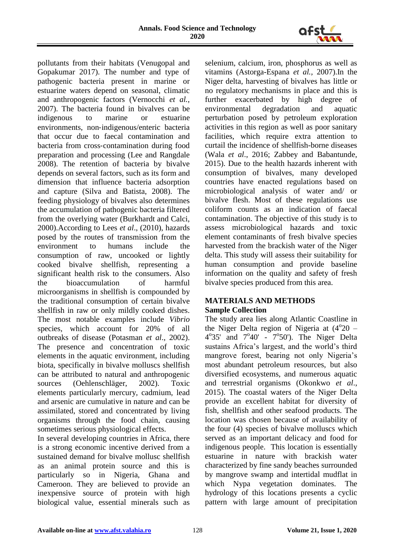

pollutants from their habitats (Venugopal and Gopakumar 2017). The number and type of pathogenic bacteria present in marine or estuarine waters depend on seasonal, climatic and anthropogenic factors (Vernocchi *et al.*, 2007). The bacteria found in bivalves can be indigenous to marine or estuarine environments, non‐indigenous/enteric bacteria that occur due to faecal contamination and bacteria from cross‐contamination during food preparation and processing (Lee and Rangdale 2008). The retention of bacteria by bivalve depends on several factors, such as its form and dimension that influence bacteria adsorption and capture (Silva and Batista, 2008). The feeding physiology of bivalves also determines the accumulation of pathogenic bacteria filtered from the overlying water (Burkhardt and Calci, 2000).According to Lees *et al*., (2010), hazards posed by the routes of transmission from the environment to humans include the consumption of raw, uncooked or lightly cooked bivalve shellfish, representing a significant health risk to the consumers. Also the bioaccumulation of harmful microorganisms in shellfish is compounded by the traditional consumption of certain bivalve shellfish in raw or only mildly cooked dishes. The most notable examples include *Vibrio* species, which account for 20% of all outbreaks of disease (Potasman *et al*., 2002). The presence and concentration of toxic elements in the aquatic environment, including biota, specifically in bivalve molluscs shellfish can be attributed to natural and anthropogenic sources (Oehlenschläger, 2002). Toxic elements particularly mercury, cadmium, lead and arsenic are cumulative in nature and can be assimilated, stored and concentrated by living organisms through the food chain, causing sometimes serious physiological effects.

In several developing countries in Africa, there is a strong economic incentive derived from a sustained demand for bivalve mollusc shellfish as an animal protein source and this is particularly so in Nigeria, Ghana and Cameroon. They are believed to provide an inexpensive source of protein with high biological value, essential minerals such as

selenium, calcium, iron, phosphorus as well as vitamins (Astorga-Espana *et al.,* 2007).In the Niger delta, harvesting of bivalves has little or no regulatory mechanisms in place and this is further exacerbated by high degree of environmental degradation and aquatic perturbation posed by petroleum exploration activities in this region as well as poor sanitary facilities, which require extra attention to curtail the incidence of shellfish-borne diseases (Wala *et al*., 2016; Zabbey and Babantunde, 2015). Due to the health hazards inherent with consumption of bivalves, many developed countries have enacted regulations based on microbiological analysis of water and/ or bivalve flesh. Most of these regulations use coliform counts as an indication of faecal contamination. The objective of this study is to assess microbiological hazards and toxic element contaminants of fresh bivalve species harvested from the brackish water of the Niger delta. This study will assess their suitability for human consumption and provide baseline information on the quality and safety of fresh bivalve species produced from this area.

# **MATERIALS AND METHODS Sample Collection**

The study area lies along Atlantic Coastline in the Niger Delta region of Nigeria at  $(4^{\circ}20 4^{\circ}35'$  and  $7^{\circ}40'$  -  $7^{\circ}50'$ ). The Niger Delta sustains Africa's largest, and the world's third mangrove forest, bearing not only Nigeria's most abundant petroleum resources, but also diversified ecosystems, and numerous aquatic and terrestrial organisms (Okonkwo *et al*., 2015). The coastal waters of the Niger Delta provide an excellent habitat for diversity of fish, shellfish and other seafood products. The location was chosen because of availability of the four (4) species of bivalve molluscs which served as an important delicacy and food for indigenous people. This location is essentially estuarine in nature with brackish water characterized by fine sandy beaches surrounded by mangrove swamp and intertidal mudflat in which Nypa vegetation dominates. The hydrology of this locations presents a cyclic pattern with large amount of precipitation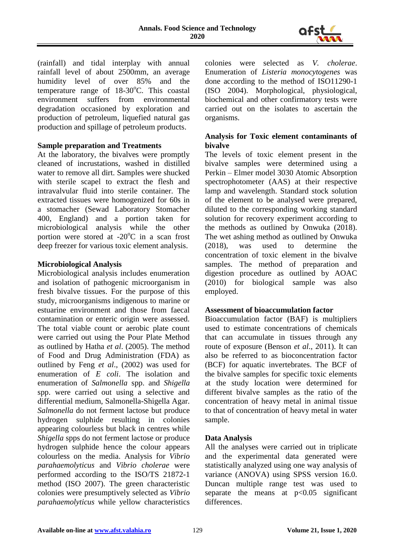

(rainfall) and tidal interplay with annual rainfall level of about 2500mm, an average humidity level of over 85% and the temperature range of  $18-30^{\circ}$ C. This coastal environment suffers from environmental degradation occasioned by exploration and production of petroleum, liquefied natural gas production and spillage of petroleum products.

## **Sample preparation and Treatments**

At the laboratory, the bivalves were promptly cleaned of incrustations, washed in distilled water to remove all dirt. Samples were shucked with sterile scapel to extract the flesh and intravalvular fluid into sterile container. The extracted tissues were homogenized for 60s in a stomacher (Sewad Laboratory Stomacher 400, England) and a portion taken for microbiological analysis while the other portion were stored at  $-20^{\circ}$ C in a scan frost deep freezer for various toxic element analysis.

## **Microbiological Analysis**

Microbiological analysis includes enumeration and isolation of pathogenic microorganism in fresh bivalve tissues. For the purpose of this study, microorganisms indigenous to marine or estuarine environment and those from faecal contamination or enteric origin were assessed. The total viable count or aerobic plate count were carried out using the Pour Plate Method as outlined by Hatha *et al*. (2005). The method of Food and Drug Administration (FDA) as outlined by Feng *et al*., (2002) was used for enumeration of *E coli*. The isolation and enumeration of *Salmonella* spp. and *Shigella* spp. were carried out using a selective and differential medium, Salmonella-Shigella Agar. *Salmonella* do not ferment lactose but produce hydrogen sulphide resulting in colonies appearing colourless but black in centres while *Shigella* spps do not ferment lactose or produce hydrogen sulphide hence the colour appears colourless on the media. Analysis for *Vibrio parahaemolyticus* and *Vibrio cholerae* were performed according to the ISO/TS 21872-1 method (ISO 2007). The green characteristic colonies were presumptively selected as *Vibrio parahaemolyticus* while yellow characteristics

colonies were selected as *V. cholerae*. Enumeration of *Listeria monocytogenes* was done according to the method of ISO11290-1 (ISO 2004). Morphological, physiological, biochemical and other confirmatory tests were carried out on the isolates to ascertain the organisms.

## **Analysis for Toxic element contaminants of bivalve**

The levels of toxic element present in the bivalve samples were determined using a Perkin – Elmer model 3030 Atomic Absorption spectrophotometer (AAS) at their respective lamp and wavelength. Standard stock solution of the element to be analysed were prepared, diluted to the corresponding working standard solution for recovery experiment according to the methods as outlined by Onwuka (2018). The wet ashing method as outlined by Onwuka (2018), was used to determine the concentration of toxic element in the bivalve samples. The method of preparation and digestion procedure as outlined by AOAC (2010) for biological sample was also employed.

## **Assessment of bioaccumulation factor**

Bioaccumulation factor (BAF) is multipliers used to estimate concentrations of chemicals that can accumulate in tissues through any route of exposure (Benson *et al*., 2011). It can also be referred to as bioconcentration factor (BCF) for aquatic invertebrates. The BCF of the bivalve samples for specific toxic elements at the study location were determined for different bivalve samples as the ratio of the concentration of heavy metal in animal tissue to that of concentration of heavy metal in water sample.

# **Data Analysis**

All the analyses were carried out in triplicate and the experimental data generated were statistically analyzed using one way analysis of variance (ANOVA) using SPSS version 16.0. Duncan multiple range test was used to separate the means at  $p<0.05$  significant differences.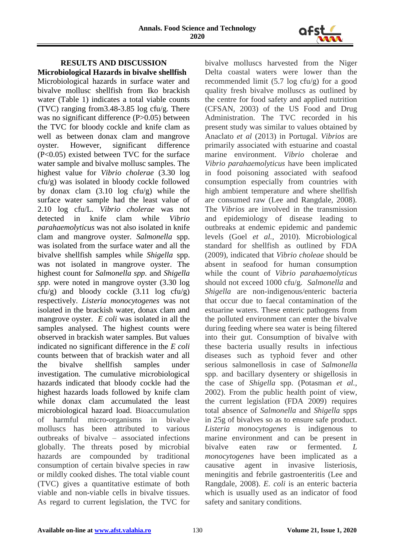

## **RESULTS AND DISCUSSION Microbiological Hazards in bivalve shellfish**

Microbiological hazards in surface water and bivalve mollusc shellfish from Iko brackish water (Table 1) indicates a total viable counts (TVC) ranging from3.48-3.85 log cfu/g. There was no significant difference (P>0.05) between the TVC for bloody cockle and knife clam as well as between donax clam and mangrove oyster. However, significant difference (P<0.05) existed between TVC for the surface water sample and bivalve mollusc samples. The highest value for *Vibrio cholerae* (3.30 log cfu/g) was isolated in bloody cockle followed by donax clam (3.10 log cfu/g) while the surface water sample had the least value of 2.10 log cfu/L. *Vibrio cholerae* was not detected in knife clam while *Vibrio parahaemolyticus* was not also isolated in knife clam and mangrove oyster. *Salmonella* spp. was isolated from the surface water and all the bivalve shellfish samples while *Shigella* spp. was not isolated in mangrove oyster. The highest count for *Salmonella spp.* and *Shigella spp.* were noted in mangrove oyster (3.30 log cfu/g) and bloody cockle (3.11 log cfu/g) respectively. *Listeria monocytogenes* was not isolated in the brackish water, donax clam and mangrove oyster. *E coli* was isolated in all the samples analysed. The highest counts were observed in brackish water samples. But values indicated no significant difference in the *E coli* counts between that of brackish water and all the bivalve shellfish samples under investigation. The cumulative microbiological hazards indicated that bloody cockle had the highest hazards loads followed by knife clam while donax clam accumulated the least microbiological hazard load. Bioaccumulation of harmful micro-organisms in bivalve molluscs has been attributed to various outbreaks of bivalve – associated infections globally. The threats posed by microbial hazards are compounded by traditional consumption of certain bivalve species in raw or mildly cooked dishes. The total viable count (TVC) gives a quantitative estimate of both viable and non-viable cells in bivalve tissues. As regard to current legislation, the TVC for

bivalve molluscs harvested from the Niger Delta coastal waters were lower than the recommended limit (5.7 log cfu/g) for a good quality fresh bivalve molluscs as outlined by the centre for food safety and applied nutrition (CFSAN, 2003) of the US Food and Drug Administration. The TVC recorded in his present study was similar to values obtained by Anaclato *et al* (2013) in Portugal. *Vibrios* are primarily associated with estuarine and coastal marine environment. *Vibrio* cholerae and *Vibrio parahaemolyticus* have been implicated in food poisoning associated with seafood consumption especially from countries with high ambient temperature and where shellfish are consumed raw (Lee and Rangdale, 2008). The *Vibrios* are involved in the transmission and epidemiology of disease leading to outbreaks at endemic epidemic and pandemic levels (Goel *et al.,* 2010). Microbiological standard for shellfish as outlined by FDA (2009), indicated that *Vibrio choleae* should be absent in seafood for human consumption while the count of *Vibrio parahaemolyticus* should not exceed 1000 cfu/g. *Salmonella* and *Shigella* are non-indigenous/enteric bacteria that occur due to faecal contamination of the estuarine waters. These enteric pathogens from the polluted environment can enter the bivalve during feeding where sea water is being filtered into their gut. Consumption of bivalve with these bacteria usually results in infectious diseases such as typhoid fever and other serious salmonellosis in case of *Salmonella*  spp. and bacillary dysentery or shigellosis in the case of *Shigella* spp. (Potasman *et al.,* 2002). From the public health point of view, the current legislation (FDA 2009) requires total absence of *Salmonella* and *Shigella* spps in 25g of bivalves so as to ensure safe product. *Listeria monocytogenes* is indigenous to marine environment and can be present in bivalve eaten raw or fermented. *L monocytogenes* have been implicated as a causative agent in invasive listeriosis, meningitis and febrile gastroenteritis (Lee and Rangdale, 2008). *E. coli* is an enteric bacteria which is usually used as an indicator of food safety and sanitary conditions.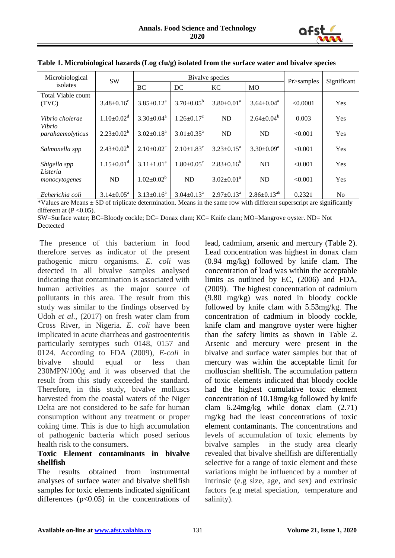

| Microbiological             | <b>SW</b>                    | Bivalve species       |                              |                            |                      | Pr>samples | Significant |
|-----------------------------|------------------------------|-----------------------|------------------------------|----------------------------|----------------------|------------|-------------|
| isolates                    |                              | BC                    | DC                           | <b>KC</b>                  | <b>MO</b>            |            |             |
| Total Viable count<br>(TVC) | $3.48 \pm 0.16^c$            | $3.85 \pm 0.12^a$     | $3.70 \pm 0.05^{\rm b}$      | $3.80 \pm 0.01^{\text{a}}$ | $3.64 \pm 0.04^a$    | < 0.0001   | Yes         |
| Vibrio cholerae             | $1.10 \pm 0.02$ <sup>d</sup> | $3.30 \pm 0.04^a$     | $1.26 \pm 0.17$ <sup>c</sup> | <b>ND</b>                  | $2.64 \pm 0.04^b$    | 0.003      | Yes         |
| Vibrio<br>parahaemolyticus  | $2.23 \pm 0.02^b$            | $3.02 \pm 0.18^a$     | $3.01 \pm 0.35^{\text{a}}$   | ND                         | ND                   | < 0.001    | Yes         |
| Salmonella spp              | $2.43 \pm 0.02^b$            | $2.10\pm0.02^{\circ}$ | $2.10 \pm 1.83$ <sup>c</sup> | $3.23 \pm 0.15^a$          | $3.30 \pm 0.09^a$    | < 0.001    | Yes         |
| Shigella spp<br>Listeria    | $1.15 \pm 0.01$ <sup>d</sup> | $3.11 \pm 1.01^a$     | $1.80 \pm 0.05$ <sup>c</sup> | $2.83+0.16^b$              | ND                   | < 0.001    | Yes         |
| monocytogenes               | <b>ND</b>                    | $1.02 \pm 0.02^b$     | <b>ND</b>                    | $3.02 \pm 0.01^a$          | <b>ND</b>            | < 0.001    | Yes         |
| Echerichia coli             | $3.14 \pm 0.05^{\text{a}}$   | $3.13 \pm 0.16^a$     | $3.04 \pm 0.13^{\text{a}}$   | $2.97 \pm 0.13^{\text{a}}$ | $2.86 \pm 0.13^{ab}$ | 0.2321     | No.         |

#### **Table 1. Microbiological hazards (Log cfu/g) isolated from the surface water and bivalve species**

\*Values are Means  $\pm$  SD of triplicate determination. Means in the same row with different superscript are significantly different at  $(P \le 0.05)$ .

SW=Surface water; BC=Bloody cockle; DC= Donax clam; KC= Knife clam; MO=Mangrove oyster. ND= Not Dectected

The presence of this bacterium in food therefore serves as indicator of the present pathogenic micro organisms. *E. coli* was detected in all bivalve samples analysed indicating that contamination is associated with human activities as the major source of pollutants in this area. The result from this study was similar to the findings observed by Udoh *et al.,* (2017) on fresh water clam from Cross River, in Nigeria. *E. coli* have been implicated in acute diarrheas and gastroenteritis particularly serotypes such 0148, 0157 and 0124. According to FDA (2009), *E-coli* in bivalve should equal or less than 230MPN/100g and it was observed that the result from this study exceeded the standard. Therefore, in this study, bivalve molluscs harvested from the coastal waters of the Niger Delta are not considered to be safe for human consumption without any treatment or proper coking time. This is due to high accumulation of pathogenic bacteria which posed serious health risk to the consumers.

## **Toxic Element contaminants in bivalve shellfish**

The results obtained from instrumental analyses of surface water and bivalve shellfish samples for toxic elements indicated significant differences  $(p<0.05)$  in the concentrations of lead, cadmium, arsenic and mercury (Table 2). Lead concentration was highest in donax clam (0.94 mg/kg) followed by knife clam. The concentration of lead was within the acceptable limits as outlined by EC, (2006) and FDA, (2009). The highest concentration of cadmium (9.80 mg/kg) was noted in bloody cockle followed by knife clam with 5.53mg/kg. The concentration of cadmium in bloody cockle, knife clam and mangrove oyster were higher than the safety limits as shown in Table 2. Arsenic and mercury were present in the bivalve and surface water samples but that of mercury was within the acceptable limit for molluscian shellfish. The accumulation pattern of toxic elements indicated that bloody cockle had the highest cumulative toxic element concentration of 10.18mg/kg followed by knife clam 6.24mg/kg while donax clam (2.71) mg/kg had the least concentrations of toxic element contaminants. The concentrations and levels of accumulation of toxic elements by bivalve samples in the study area clearly revealed that bivalve shellfish are differentially selective for a range of toxic element and these variations might be influenced by a number of intrinsic (e.g size, age, and sex) and extrinsic factors (e.g metal speciation, temperature and salinity).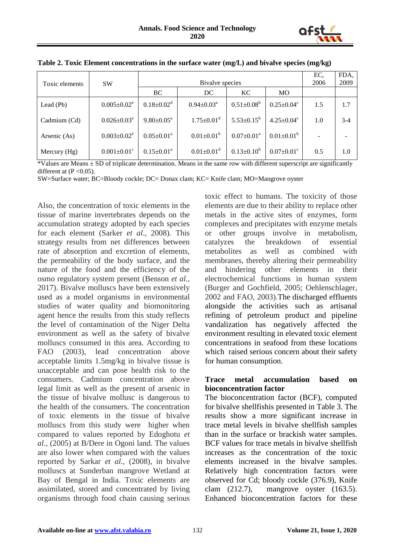

| Toxic elements | <b>SW</b>                     |                              | EC,<br>2006                  | FDA,<br>2009                 |                              |     |       |
|----------------|-------------------------------|------------------------------|------------------------------|------------------------------|------------------------------|-----|-------|
|                |                               | <b>BC</b>                    | DC                           | KC.                          | <b>MO</b>                    |     |       |
| Lead $(Pb)$    | $0.005 \pm 0.02^e$            | $0.18 \pm 0.02$ <sup>d</sup> | $0.94 \pm 0.03^{\text{a}}$   | $0.51 \pm 0.08^b$            | $0.25 \pm 0.04$ <sup>c</sup> | 1.5 | 1.7   |
| Cadmium (Cd)   | $0.026 \pm 0.03^e$            | $9.80 \pm 0.05^{\text{a}}$   | $1.75 \pm 0.01$ <sup>d</sup> | $5.53 \pm 0.15^b$            | $4.25 \pm 0.04$ <sup>c</sup> | 1.0 | $3-4$ |
| Arsenic (As)   | $0.003 \pm 0.02^e$            | $0.05 \pm 0.01^{\text{a}}$   | $0.01 \pm 0.01^b$            | $0.07 \pm 0.01$ <sup>a</sup> | $0.01 \pm 0.01$ <sup>b</sup> |     |       |
| Mercury (Hg)   | $0.001 \pm 0.01$ <sup>c</sup> | $0.15 \pm 0.01^{\text{a}}$   | $0.01 \pm 0.01$ <sup>d</sup> | $0.13 \pm 0.10^b$            | $0.07 \pm 0.01$ <sup>c</sup> | 0.5 | 1.0   |

**Table 2. Toxic Element concentrations in the surface water (mg/L) and bivalve species (mg/kg)**

\*Values are Means  $\pm$  SD of triplicate determination. Means in the same row with different superscript are significantly different at  $(P < 0.05)$ .

SW=Surface water; BC=Bloody cockle; DC= Donax clam; KC= Knife clam; MO=Mangrove oyster

Also, the concentration of toxic elements in the tissue of marine invertebrates depends on the accumulation strategy adopted by each species for each element (Sarker *et al*., 2008). This strategy results from net differences between rate of absorption and excretion of elements, the permeability of the body surface, and the nature of the food and the efficiency of the osmo regulatory system present (Benson *et al.,* 2017). Bivalve molluscs have been extensively used as a model organisms in environmental studies of water quality and biomonitoring agent hence the results from this study reflects the level of contamination of the Niger Delta environment as well as the safety of bivalve molluscs consumed in this area. According to FAO (2003), lead concentration above acceptable limits 1.5mg/kg in bivalve tissue is unacceptable and can pose health risk to the consumers. Cadmium concentration above legal limit as well as the present of arsenic in the tissue of bivalve mollusc is dangerous to the health of the consumers. The concentration of toxic elements in the tissue of bivalve molluscs from this study were higher when compared to values reported by Edoghotu *et al.,* (2005) at B/Dere in Ogoni land. The values are also lower when compared with the values reported by Sarkar *et al.,* (2008), in bivalve molluscs at Sunderban mangrove Wetland at Bay of Bengal in India. Toxic elements are assimilated, stored and concentrated by living organisms through food chain causing serious

toxic effect to humans. The toxicity of those elements are due to their ability to replace other metals in the active sites of enzymes, form complexes and precipitates with enzyme metals or other groups involve in metabolism, catalyzes the breakdown of essential metabolites as well as combined with membranes, thereby altering their permeability and hindering other elements in their electrochemical functions in human system (Burger and Gochfield, 2005; Oehlenschlager, 2002 and FAO, 2003).The discharged effluents alongside the activities such as artisanal refining of petroleum product and pipeline vandalization has negatively affected the environment resulting in elevated toxic element concentrations in seafood from these locations which raised serious concern about their safety for human consumption.

#### **Trace metal accumulation based on bioconcentration factor**

The bioconcentration factor (BCF), computed for bivalve shellfishis presented in Table 3. The results show a more significant increase in trace metal levels in bivalve shellfish samples than in the surface or brackish water samples. BCF values for trace metals in bivalve shellfish increases as the concentration of the toxic elements increased in the bivalve samples. Relatively high concentration factors were observed for Cd; bloody cockle (376.9), Knife clam (212.7), mangrove oyster (163.5). Enhanced bioconcentration factors for these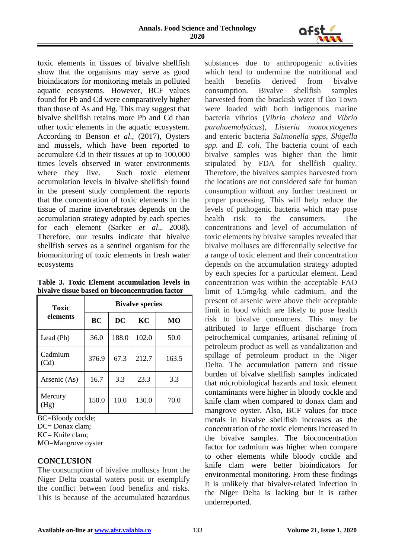

toxic elements in tissues of bivalve shellfish show that the organisms may serve as good bioindicators for monitoring metals in polluted aquatic ecosystems. However, BCF values found for Pb and Cd were comparatively higher than those of As and Hg. This may suggest that bivalve shellfish retains more Pb and Cd than other toxic elements in the aquatic ecosystem. According to Benson *et al*., (2017), Oysters and mussels, which have been reported to accumulate Cd in their tissues at up to 100,000 times levels observed in water environments where they live. Such toxic element accumulation levels in bivalve shellfish found in the present study complement the reports that the concentration of toxic elements in the tissue of marine invertebrates depends on the accumulation strategy adopted by each species for each element (Sarker *et al*., 2008). Therefore, our results indicate that bivalve shellfish serves as a sentinel organism for the biomonitoring of toxic elements in fresh water ecosystems

**Table 3. Toxic Element accumulation levels in bivalve tissue based on bioconcentration factor**

| <b>Toxic</b>    | <b>Bivalve species</b> |       |       |       |  |  |
|-----------------|------------------------|-------|-------|-------|--|--|
| elements        | <b>BC</b>              | DC    | KС    | MО    |  |  |
| Lead (Pb)       | 36.0                   | 188.0 | 102.0 | 50.0  |  |  |
| Cadmium<br>(Cd) | 376.9                  | 67.3  | 212.7 | 163.5 |  |  |
| Arsenic (As)    | 16.7                   | 3.3   | 23.3  | 3.3   |  |  |
| Mercury<br>(Hg) | 150.0                  | 10.0  | 130.0 | 70.0  |  |  |

BC=Bloody cockle;

DC= Donax clam;

KC= Knife clam;

MO=Mangrove oyster

## **CONCLUSION**

The consumption of bivalve molluscs from the Niger Delta coastal waters posit or exemplify the conflict between food benefits and risks. This is because of the accumulated hazardous

substances due to anthropogenic activities which tend to undermine the nutritional and health benefits derived from bivalve consumption. Bivalve shellfish samples harvested from the brackish water if Iko Town were loaded with both indigenous marine bacteria vibrios (*Vibrio cholera* and *Vibrio parahaemolyticus*), *Listeria monocytogenes* and enteric bacteria *Salmonella spps, Shigella spp.* and *E. coli*. The bacteria count of each bivalve samples was higher than the limit stipulated by FDA for shellfish quality. Therefore, the bivalves samples harvested from the locations are not considered safe for human consumption without any further treatment or proper processing. This will help reduce the levels of pathogenic bacteria which may pose health risk to the consumers. The concentrations and level of accumulation of toxic elements by bivalve samples revealed that bivalve molluscs are differentially selective for a range of toxic element and their concentration depends on the accumulation strategy adopted by each species for a particular element. Lead concentration was within the acceptable FAO limit of 1.5mg/kg while cadmium, and the present of arsenic were above their acceptable limit in food which are likely to pose health risk to bivalve consumers. This may be attributed to large effluent discharge from petrochemical companies, artisanal refining of petroleum product as well as vandalization and spillage of petroleum product in the Niger Delta. The accumulation pattern and tissue burden of bivalve shellfish samples indicated that microbiological hazards and toxic element contaminants were higher in bloody cockle and knife clam when compared to donax clam and mangrove oyster. Also, BCF values for trace metals in bivalve shellfish increases as the concentration of the toxic elements increased in the bivalve samples. The bioconcentration factor for cadmium was higher when compare to other elements while bloody cockle and knife clam were better bioindicators for environmental monitoring. From these findings it is unlikely that bivalve-related infection in the Niger Delta is lacking but it is rather underreported.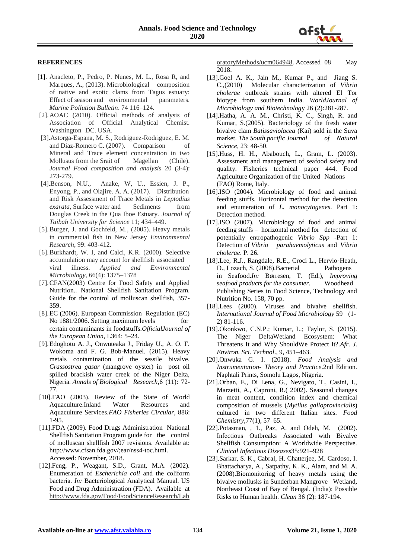

#### **REFERENCES**

- [1]. Anacleto, P., Pedro, P. Nunes, M. L., Rosa R, and Marques, A., (2013). Microbiological composition of native and exotic clams from Tagus estuary: Effect of season and environmental parameters. *Marine Pollution Bulletin*. 74 116–124.
- [2].AOAC (2010). Official methods of analysis of Association of Official Analytical Chemist. Washington DC. USA.
- [3].Astorga-Espana, M. S., Rodriguez-Rodriguez, E. M. and Diaz-Romero C. (2007). Comparison of Mineral and Trace element concentration in two Mollusus from the Srait of Magellan (Chile). *Journal Food composition and analysis* 20 (3-4): 273-279.
- [4].Benson, N.U., Anake, W, U., Essien, J. P., Enyong, P., and Olajire. A. A. (2017). Distribution and Risk Assessment of Trace Metals in *Leptodius exarata*, Surface water and Sediments from Douglas Creek in the Qua Iboe Estuary. *Journal of Taibah University for Science* 11; 434–449.
- [5].Burger, J. and Gochfeld, M., (2005). Heavy metals in commercial fish in New Jersey *Environmental Research*, 99: 403-412.
- [6].Burkhardt, W. I, and Calci, K.R. (2000). Selective accumulation may account for shellfish associated viral illness. *Applied and Environmental Microbiology,* 66(4): 1375–1378
- [7].CFAN(2003) Centre for Food Safety and Applied Nutrition.. National Shellfish Sanitation Program. Guide for the control of molluscan shellfish, 357- 359.
- [8].EC (2006). European Commission Regulation (EC) No 1881/2006. Setting maximum levels for certain contaminants in foodstuffs.*OfficialJournal of the European Union,* L364: 5–24.
- [9].Edoghotu A. J., Onwuteaka J., Friday U., A. O. F. Wokoma and F. G. Bob-Manuel. (2015). Heavy metals contamination of the sessile bivalve, *Crassostrea gasar* (mangrove oyster) in post oil spilled brackish water creek of the Niger Delta, Nigeria. *Annals of Biological Research,*6 (11): 72- 77.
- [10].FAO (2003). Review of the State of World Aquaculture.Inland Water Resources and Aquaculture Services.*FAO Fisheries Circular*, 886: 1-95.
- [11].FDA (2009). Food Drugs Administration National Shellfish Sanitation Program guide for the control of molluscan shellfish 2007 revisions. Available at: http://www.cfsan.fda.gov/;ear/nss4-toc.html. Accessed: November, 2018.
- [12].Feng, P., Weagant, S.D., Grant, M.A. (2002). Enumeration of *Escherichia coli* and the coliform bacteria. *In:* Bacteriological Analytical Manual. US Food and Drug Administration (FDA). Available at [http://www.fda.gov/Food/FoodScienceResearch/Lab](http://www.fda.gov/Food/FoodScienceResearch/LaboratoryMethods/ucm064948)

[oratoryMethods/ucm064948.](http://www.fda.gov/Food/FoodScienceResearch/LaboratoryMethods/ucm064948) Accessed 08 May 2018.

- [13].Goel A. K., Jain M., Kumar P., and Jiang S. C.,(2010) Molecular characterization of *Vibrio cholerae* outbreak strains with altered El Tor biotype from southern India. *WorldJournal of Microbiology and Biotechnolog*y 26 (2):281-287.
- [14].Hatha, A. A. M., Christi, K. C., Singh, R. and Kumar, S.(2005). Bacteriology of the fresh water bivalve clam *Batissaviolacea* (Kai) sold in the Suva market. *The South pacific Journal of Natural Science*, 23: 48-50.
- [15].Huss, H. H., Ababouch, L., Gram, L. (2003). Assessment and management of seafood safety and quality. Fisheries technical paper 444. Food Agriculture Organization of the United Nations (FAO) Rome, Italy.
- [16].ISO (2004). Microbiology of food and animal feeding stuffs. Horizontal method for the detection and enumeration of *L. monocytogenes*. Part 1: Detection method.
- [17].ISO (2007). Microbiology of food and animal feeding stuffs – horizontal method for detection of potentially entropathogenic *Vibrio Spp* -Part 1: Detection of *Vibrio parahaemolyticus* and *Vibrio cholerae*. P. 26.
- [18].Lee, R.J., Rangdale, R.E., Croci L., Hervio‐Heath, D., Lozach, S. (2008).Bacterial Pathogens in Seafood.*In:* Børresen, T. (Ed.), *Improving seafood products for the consumer.* Woodhead Publishing Series in Food Science, Technology and Nutrition No. 158, 70 pp.
- [18].Lees (2000). Viruses and bivalve shellfish. *International Journal of Food Microbiology* 59 (1- 2) 81-116.
- [19].Okonkwo, C.N.P.; Kumar, L.; Taylor, S. (2015). The Niger DeltaWetland Ecosystem: What Threatens It and Why ShouldWe Protect It?.*Afr. J. Environ. Sci. Technol*., 9, 451–463.
- [20].Onwuka G. I. (2018). *Food Analysis and Instrumentation- Theory and Practice*.2nd Edition. Naphtali Prints, Somolu Lagos, Nigeria.
- [21].Orban, E., Di Lena, G., Nevigato, T., Casini, I., Marzetti, A., Caproni, R.( 2002). Seasonal changes in meat content, condition index and chemical composition of mussels (*Mytilus galloprovincialis*) cultured in two different Italian sites. *Food Chemistry,*77(1), 57–65.
- [22].Potasman, , 1., Paz, A. and Odeh, M. (2002). Infectious Outbreaks Associated with Bivalve Shellfish Consumption: A Worldwide Perspective. *Clinical Infectious Diseases*35:921–928
- [23].Sarkar, S. K., Cabral, H. Chatterjee, M. Cardoso, I. Bhattacharya, A., Satpathy, K. K., Alam, and M. A. (2008).Biomonitoring of heavy metals using the bivalve mollusks in Sunderban Mangrove Wetland, Northeast Coast of Bay of Bengal. (India): Possible Risks to Human health. *Clean* 36 (2): 187-194.